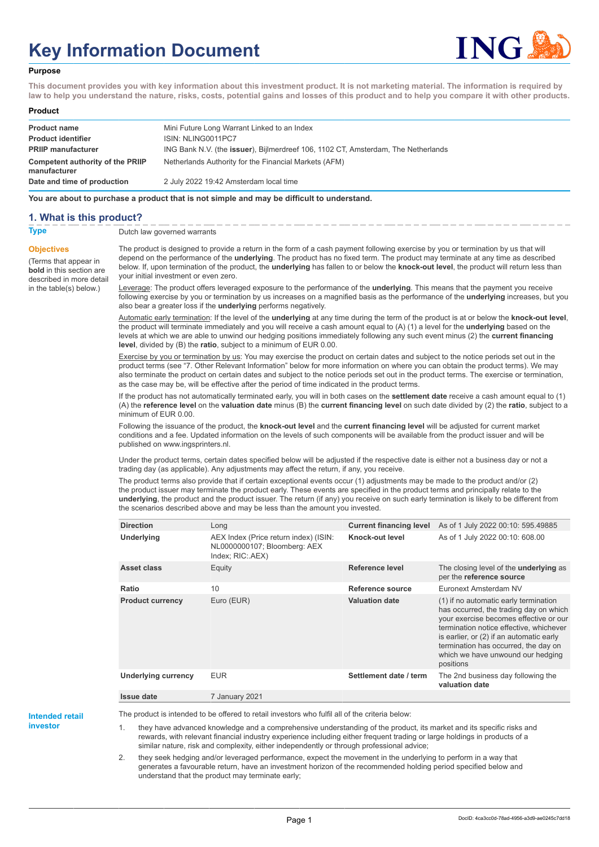# **Key Information Document**



#### **Purpose**

**This document provides you with key information about this investment product. It is not marketing material. The information is required by law to help you understand the nature, risks, costs, potential gains and losses of this product and to help you compare it with other products.**

#### **Product**

| <b>Product name</b><br><b>Product identifier</b> | Mini Future Long Warrant Linked to an Index<br>ISIN: NLING0011PC7                         |
|--------------------------------------------------|-------------------------------------------------------------------------------------------|
| <b>PRIIP manufacturer</b>                        | ING Bank N.V. (the <b>issuer</b> ), Bijlmerdreef 106, 1102 CT, Amsterdam, The Netherlands |
| Competent authority of the PRIIP<br>manufacturer | Netherlands Authority for the Financial Markets (AFM)                                     |
| Date and time of production                      | 2 July 2022 19:42 Amsterdam local time                                                    |

**You are about to purchase a product that is not simple and may be difficult to understand.**

### **1. What is this product?**

**Objectives**

(Terms that appear in **bold** in this section are

in the table(s) below.)

**Type** Dutch law governed warrants

described in more detail The product is designed to provide a return in the form of a cash payment following exercise by you or termination by us that will depend on the performance of the **underlying**. The product has no fixed term. The product may terminate at any time as described below. If, upon termination of the product, the **underlying** has fallen to or below the **knock-out level**, the product will return less than your initial investment or even zero.

> Leverage: The product offers leveraged exposure to the performance of the **underlying**. This means that the payment you receive following exercise by you or termination by us increases on a magnified basis as the performance of the **underlying** increases, but you also bear a greater loss if the **underlying** performs negatively.

> Automatic early termination: If the level of the **underlying** at any time during the term of the product is at or below the **knock-out level**, the product will terminate immediately and you will receive a cash amount equal to (A) (1) a level for the **underlying** based on the levels at which we are able to unwind our hedging positions immediately following any such event minus (2) the **current financing level**, divided by (B) the **ratio**, subject to a minimum of EUR 0.00.

> Exercise by you or termination by us: You may exercise the product on certain dates and subject to the notice periods set out in the product terms (see "7. Other Relevant Information" below for more information on where you can obtain the product terms). We may also terminate the product on certain dates and subject to the notice periods set out in the product terms. The exercise or termination, as the case may be, will be effective after the period of time indicated in the product terms.

> If the product has not automatically terminated early, you will in both cases on the **settlement date** receive a cash amount equal to (1) (A) the **reference level** on the **valuation date** minus (B) the **current financing level** on such date divided by (2) the **ratio**, subject to a minimum of EUR 0.00.

Following the issuance of the product, the **knock-out level** and the **current financing level** will be adjusted for current market conditions and a fee. Updated information on the levels of such components will be available from the product issuer and will be published on www.ingsprinters.nl.

Under the product terms, certain dates specified below will be adjusted if the respective date is either not a business day or not a trading day (as applicable). Any adjustments may affect the return, if any, you receive.

The product terms also provide that if certain exceptional events occur (1) adjustments may be made to the product and/or (2) the product issuer may terminate the product early. These events are specified in the product terms and principally relate to the **underlying**, the product and the product issuer. The return (if any) you receive on such early termination is likely to be different from the scenarios described above and may be less than the amount you invested.

| <b>Direction</b>           | Long                                                                                      | <b>Current financing level</b> | As of 1 July 2022 00:10: 595.49885                                                                                                                                                                                                                                                                         |
|----------------------------|-------------------------------------------------------------------------------------------|--------------------------------|------------------------------------------------------------------------------------------------------------------------------------------------------------------------------------------------------------------------------------------------------------------------------------------------------------|
| Underlying                 | AEX Index (Price return index) (ISIN:<br>NL0000000107; Bloomberg: AEX<br>Index; RIC: AEX) | Knock-out level                | As of 1 July 2022 00:10: 608.00                                                                                                                                                                                                                                                                            |
| Asset class                | Equity                                                                                    | Reference level                | The closing level of the underlying as<br>per the reference source                                                                                                                                                                                                                                         |
| Ratio                      | 10                                                                                        | Reference source               | Euronext Amsterdam NV                                                                                                                                                                                                                                                                                      |
| <b>Product currency</b>    | Euro (EUR)                                                                                | <b>Valuation date</b>          | (1) if no automatic early termination<br>has occurred, the trading day on which<br>your exercise becomes effective or our<br>termination notice effective, whichever<br>is earlier, or (2) if an automatic early<br>termination has occurred, the day on<br>which we have unwound our hedging<br>positions |
| <b>Underlying currency</b> | <b>EUR</b>                                                                                | Settlement date / term         | The 2nd business day following the<br>valuation date                                                                                                                                                                                                                                                       |
| <b>Issue date</b>          | 7 January 2021                                                                            |                                |                                                                                                                                                                                                                                                                                                            |

**Intended retail**

**investor**

The product is intended to be offered to retail investors who fulfil all of the criteria below:

they have advanced knowledge and a comprehensive understanding of the product, its market and its specific risks and rewards, with relevant financial industry experience including either frequent trading or large holdings in products of a similar nature, risk and complexity, either independently or through professional advice;

2. they seek hedging and/or leveraged performance, expect the movement in the underlying to perform in a way that generates a favourable return, have an investment horizon of the recommended holding period specified below and understand that the product may terminate early;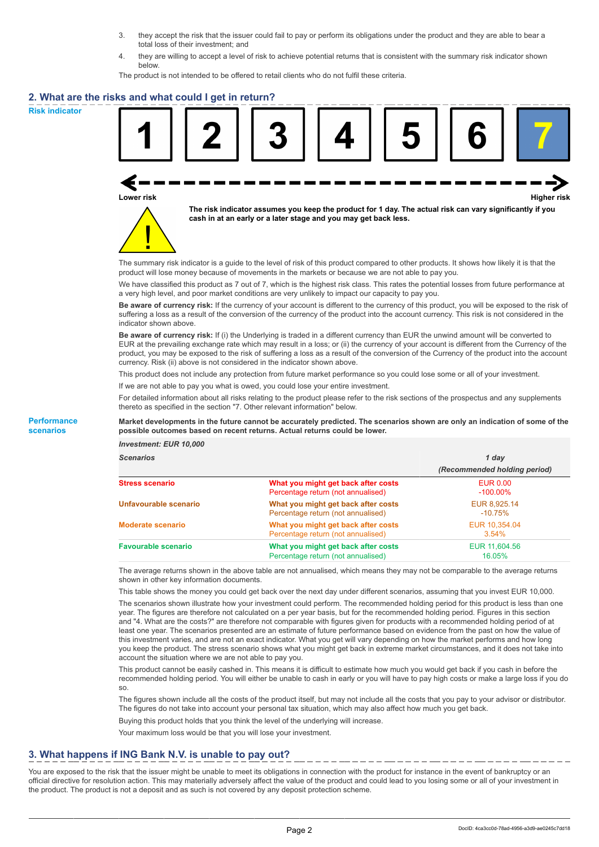- 3. they accept the risk that the issuer could fail to pay or perform its obligations under the product and they are able to bear a total loss of their investment; and
- 4. they are willing to accept a level of risk to achieve potential returns that is consistent with the summary risk indicator shown below.

The product is not intended to be offered to retail clients who do not fulfil these criteria.

### **2. What are the risks and what could I get in return?**

**Risk indicator**

**Performance scenarios**





**The risk indicator assumes you keep the product for 1 day. The actual risk can vary significantly if you cash in at an early or a later stage and you may get back less.**

The summary risk indicator is a guide to the level of risk of this product compared to other products. It shows how likely it is that the product will lose money because of movements in the markets or because we are not able to pay you.

We have classified this product as 7 out of 7, which is the highest risk class. This rates the potential losses from future performance at a very high level, and poor market conditions are very unlikely to impact our capacity to pay you.

**Be aware of currency risk:** If the currency of your account is different to the currency of this product, you will be exposed to the risk of suffering a loss as a result of the conversion of the currency of the product into the account currency. This risk is not considered in the indicator shown above.

**Be aware of currency risk:** If (i) the Underlying is traded in a different currency than EUR the unwind amount will be converted to EUR at the prevailing exchange rate which may result in a loss; or (ii) the currency of your account is different from the Currency of the product, you may be exposed to the risk of suffering a loss as a result of the conversion of the Currency of the product into the account currency. Risk (ii) above is not considered in the indicator shown above.

This product does not include any protection from future market performance so you could lose some or all of your investment.

If we are not able to pay you what is owed, you could lose your entire investment.

For detailed information about all risks relating to the product please refer to the risk sections of the prospectus and any supplements thereto as specified in the section "7. Other relevant information" below.

#### **Market developments in the future cannot be accurately predicted. The scenarios shown are only an indication of some of the possible outcomes based on recent returns. Actual returns could be lower.**

*Investment: EUR 10,000*

| <b>Scenarios</b>           |                                                                           | 1 dav                          |
|----------------------------|---------------------------------------------------------------------------|--------------------------------|
|                            |                                                                           | (Recommended holding period)   |
| <b>Stress scenario</b>     | What you might get back after costs<br>Percentage return (not annualised) | <b>EUR 0.00</b><br>$-100.00\%$ |
| Unfavourable scenario      | What you might get back after costs<br>Percentage return (not annualised) | EUR 8,925.14<br>$-10.75\%$     |
| <b>Moderate scenario</b>   | What you might get back after costs<br>Percentage return (not annualised) | EUR 10,354.04<br>3.54%         |
| <b>Favourable scenario</b> | What you might get back after costs<br>Percentage return (not annualised) | EUR 11,604.56<br>16.05%        |

The average returns shown in the above table are not annualised, which means they may not be comparable to the average returns shown in other key information documents.

This table shows the money you could get back over the next day under different scenarios, assuming that you invest EUR 10,000.

The scenarios shown illustrate how your investment could perform. The recommended holding period for this product is less than one year. The figures are therefore not calculated on a per year basis, but for the recommended holding period. Figures in this section and "4. What are the costs?" are therefore not comparable with figures given for products with a recommended holding period of at least one year. The scenarios presented are an estimate of future performance based on evidence from the past on how the value of this investment varies, and are not an exact indicator. What you get will vary depending on how the market performs and how long you keep the product. The stress scenario shows what you might get back in extreme market circumstances, and it does not take into account the situation where we are not able to pay you.

This product cannot be easily cashed in. This means it is difficult to estimate how much you would get back if you cash in before the recommended holding period. You will either be unable to cash in early or you will have to pay high costs or make a large loss if you do so.

The figures shown include all the costs of the product itself, but may not include all the costs that you pay to your advisor or distributor. The figures do not take into account your personal tax situation, which may also affect how much you get back.

Buying this product holds that you think the level of the underlying will increase.

Your maximum loss would be that you will lose your investment.

## **3. What happens if ING Bank N.V. is unable to pay out?**

You are exposed to the risk that the issuer might be unable to meet its obligations in connection with the product for instance in the event of bankruptcy or an official directive for resolution action. This may materially adversely affect the value of the product and could lead to you losing some or all of your investment in the product. The product is not a deposit and as such is not covered by any deposit protection scheme.